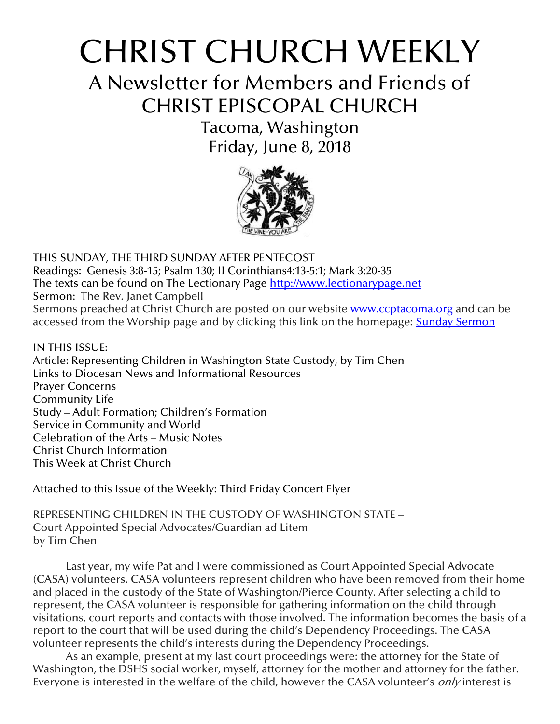# CHRIST CHURCH WEEKLY

A Newsletter for Members and Friends of CHRIST EPISCOPAL CHURCH

> Tacoma, Washington Friday, June 8, 2018



THIS SUNDAY, THE THIRD SUNDAY AFTER PENTECOST Readings: Genesis 3:8-15; Psalm 130; II Corinthians4:13-5:1; Mark 3:20-35 The texts can be found on The Lectionary Page [http://www.lectionarypage.net](http://www.lectionarypage.net/) Sermon: The Rev. Janet Campbell Sermons preached at Christ Church are posted on our website **[www.ccptacoma.org](http://www.ccptacoma.org/)** and can be accessed from the Worship page and by clicking this link on the homepage: Sunday [Sermon](http://www.ccptacoma.org/article/43/worship/sermons)

IN THIS ISSUE: Article: Representing Children in Washington State Custody, by Tim Chen Links to Diocesan News and Informational Resources Prayer Concerns Community Life Study – Adult Formation; Children's Formation Service in Community and World Celebration of the Arts – Music Notes Christ Church Information This Week at Christ Church

Attached to this Issue of the Weekly: Third Friday Concert Flyer

REPRESENTING CHILDREN IN THE CUSTODY OF WASHINGTON STATE – Court Appointed Special Advocates/Guardian ad Litem by Tim Chen

Last year, my wife Pat and I were commissioned as Court Appointed Special Advocate (CASA) volunteers. CASA volunteers represent children who have been removed from their home and placed in the custody of the State of Washington/Pierce County. After selecting a child to represent, the CASA volunteer is responsible for gathering information on the child through visitations, court reports and contacts with those involved. The information becomes the basis of a report to the court that will be used during the child's Dependency Proceedings. The CASA volunteer represents the child's interests during the Dependency Proceedings.

As an example, present at my last court proceedings were: the attorney for the State of Washington, the DSHS social worker, myself, attorney for the mother and attorney for the father. Everyone is interested in the welfare of the child, however the CASA volunteer's *only* interest is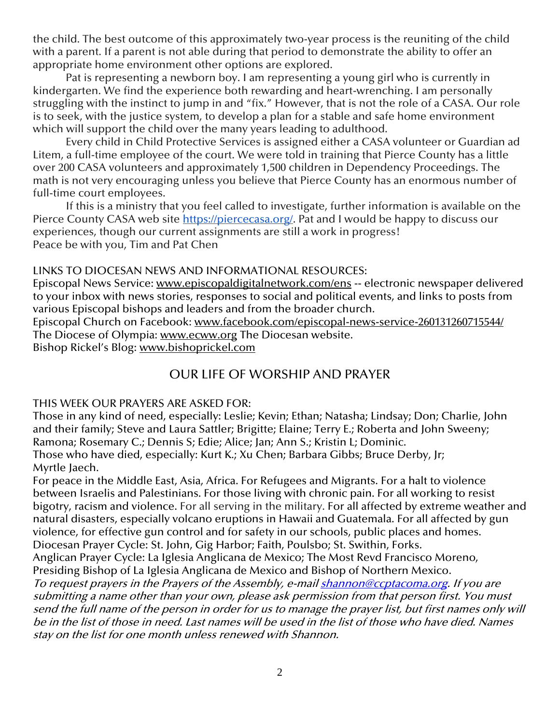the child. The best outcome of this approximately two-year process is the reuniting of the child with a parent. If a parent is not able during that period to demonstrate the ability to offer an appropriate home environment other options are explored.

Pat is representing a newborn boy. I am representing a young girl who is currently in kindergarten. We find the experience both rewarding and heart-wrenching. I am personally struggling with the instinct to jump in and "fix." However, that is not the role of a CASA. Our role is to seek, with the justice system, to develop a plan for a stable and safe home environment which will support the child over the many years leading to adulthood.

Every child in Child Protective Services is assigned either a CASA volunteer or Guardian ad Litem, a full-time employee of the court. We were told in training that Pierce County has a little over 200 CASA volunteers and approximately 1,500 children in Dependency Proceedings. The math is not very encouraging unless you believe that Pierce County has an enormous number of full-time court employees.

If this is a ministry that you feel called to investigate, further information is available on the Pierce County CASA web site [https://piercecasa.org/.](https://piercecasa.org/) Pat and I would be happy to discuss our experiences, though our current assignments are still a work in progress! Peace be with you, Tim and Pat Chen

#### LINKS TO DIOCESAN NEWS AND INFORMATIONAL RESOURCES:

Episcopal News Service: [www.episcopaldigitalnetwork.com/ens](http://www.episcopaldigitalnetwork.com/ens) -- electronic newspaper delivered to your inbox with news stories, responses to social and political events, and links to posts from various Episcopal bishops and leaders and from the broader church.

Episcopal Church on Facebook: [www.facebook.com/episcopal-news-service-260131260715544/](http://www.facebook.com/episcopal-news-service-260131260715544/) The Diocese of Olympia: [www.ecww.org](http://www.ecww.org/) The Diocesan website. Bishop Rickel's Blog: [www.bishoprickel.com](http://www.bishoprickel.com/)

## OUR LIFE OF WORSHIP AND PRAYER

#### THIS WEEK OUR PRAYERS ARE ASKED FOR:

Those in any kind of need, especially: Leslie; Kevin; Ethan; Natasha; Lindsay; Don; Charlie, John and their family; Steve and Laura Sattler; Brigitte; Elaine; Terry E.; Roberta and John Sweeny; Ramona; Rosemary C.; Dennis S; Edie; Alice; Jan; Ann S.; Kristin L; Dominic. Those who have died, especially: Kurt K.; Xu Chen; Barbara Gibbs; Bruce Derby, Jr; Myrtle Jaech.

For peace in the Middle East, Asia, Africa. For Refugees and Migrants. For a halt to violence between Israelis and Palestinians. For those living with chronic pain. For all working to resist bigotry, racism and violence. For all serving in the military. For all affected by extreme weather and natural disasters, especially volcano eruptions in Hawaii and Guatemala. For all affected by gun violence, for effective gun control and for safety in our schools, public places and homes. Diocesan Prayer Cycle: St. John, Gig Harbor; Faith, Poulsbo; St. Swithin, Forks.

Anglican Prayer Cycle: La Iglesia Anglicana de Mexico; The Most Revd Francisco Moreno, Presiding Bishop of La Iglesia Anglicana de Mexico and Bishop of Northern Mexico.

To request prayers in the Prayers of the Assembly, e-mai[l shannon@ccptacoma.org.](mailto:shannon@ccptacoma.org) If you are submitting a name other than your own, please ask permission from that person first. You must send the full name of the person in order for us to manage the prayer list, but first names only will be in the list of those in need. Last names will be used in the list of those who have died. Names stay on the list for one month unless renewed with Shannon.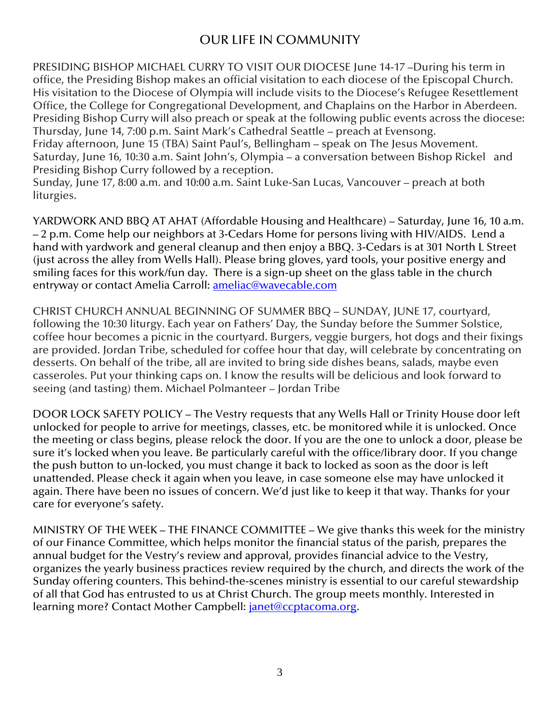# OUR LIFE IN COMMUNITY

PRESIDING BISHOP MICHAEL CURRY TO VISIT OUR DIOCESE June 14-17 –During his term in office, the Presiding Bishop makes an official visitation to each diocese of the Episcopal Church. His visitation to the Diocese of Olympia will include visits to the Diocese's Refugee Resettlement Office, the College for Congregational Development, and Chaplains on the Harbor in Aberdeen. Presiding Bishop Curry will also preach or speak at the following public events across the diocese: Thursday, June 14, 7:00 p.m. Saint Mark's Cathedral Seattle – preach at Evensong. Friday afternoon, June 15 (TBA) Saint Paul's, Bellingham – speak on The Jesus Movement. Saturday, June 16, 10:30 a.m. Saint John's, Olympia – a conversation between Bishop Rickel and Presiding Bishop Curry followed by a reception.

Sunday, June 17, 8:00 a.m. and 10:00 a.m. Saint Luke-San Lucas, Vancouver – preach at both liturgies.

YARDWORK AND BBQ AT AHAT (Affordable Housing and Healthcare) – Saturday, June 16, 10 a.m. – 2 p.m. Come help our neighbors at 3-Cedars Home for persons living with HIV/AIDS. Lend a hand with yardwork and general cleanup and then enjoy a BBQ. 3-Cedars is at 301 North L Street (just across the alley from Wells Hall). Please bring gloves, yard tools, your positive energy and smiling faces for this work/fun day. There is a sign-up sheet on the glass table in the church entryway or contact Amelia Carroll: **ameliac@wavecable.com** 

CHRIST CHURCH ANNUAL BEGINNING OF SUMMER BBQ – SUNDAY, JUNE 17, courtyard, following the 10:30 liturgy. Each year on Fathers' Day, the Sunday before the Summer Solstice, coffee hour becomes a picnic in the courtyard. Burgers, veggie burgers, hot dogs and their fixings are provided. Jordan Tribe, scheduled for coffee hour that day, will celebrate by concentrating on desserts. On behalf of the tribe, all are invited to bring side dishes beans, salads, maybe even casseroles. Put your thinking caps on. I know the results will be delicious and look forward to seeing (and tasting) them. Michael Polmanteer – Jordan Tribe

DOOR LOCK SAFETY POLICY – The Vestry requests that any Wells Hall or Trinity House door left unlocked for people to arrive for meetings, classes, etc. be monitored while it is unlocked. Once the meeting or class begins, please relock the door. If you are the one to unlock a door, please be sure it's locked when you leave. Be particularly careful with the office/library door. If you change the push button to un-locked, you must change it back to locked as soon as the door is left unattended. Please check it again when you leave, in case someone else may have unlocked it again. There have been no issues of concern. We'd just like to keep it that way. Thanks for your care for everyone's safety.

MINISTRY OF THE WEEK – THE FINANCE COMMITTEE – We give thanks this week for the ministry of our Finance Committee, which helps monitor the financial status of the parish, prepares the annual budget for the Vestry's review and approval, provides financial advice to the Vestry, organizes the yearly business practices review required by the church, and directs the work of the Sunday offering counters. This behind-the-scenes ministry is essential to our careful stewardship of all that God has entrusted to us at Christ Church. The group meets monthly. Interested in learning more? Contact Mother Campbell: *janet@ccptacoma.org.*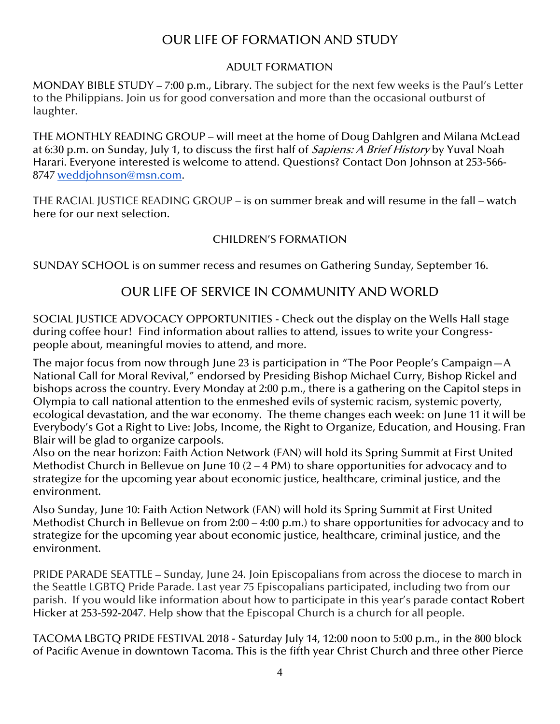# OUR LIFE OF FORMATION AND STUDY

## ADULT FORMATION

MONDAY BIBLE STUDY – 7:00 p.m., Library. The subject for the next few weeks is the Paul's Letter to the Philippians. Join us for good conversation and more than the occasional outburst of laughter.

THE MONTHLY READING GROUP – will meet at the home of Doug Dahlgren and Milana McLead at 6:30 p.m. on Sunday, July 1, to discuss the first half of *Sapiens: A Brief History* by Yuval Noah Harari. Everyone interested is welcome to attend. Questions? Contact Don Johnson at 253-566- 8747 [weddjohnson@msn.com.](mailto:weddjohnson@msn.com)

THE RACIAL JUSTICE READING GROUP – is on summer break and will resume in the fall – watch here for our next selection.

## CHILDREN'S FORMATION

SUNDAY SCHOOL is on summer recess and resumes on Gathering Sunday, September 16.

## OUR LIFE OF SERVICE IN COMMUNITY AND WORLD

SOCIAL JUSTICE ADVOCACY OPPORTUNITIES - Check out the display on the Wells Hall stage during coffee hour! Find information about rallies to attend, issues to write your Congresspeople about, meaningful movies to attend, and more.

The major focus from now through June 23 is participation in "The Poor People's Campaign—A National Call for Moral Revival," endorsed by Presiding Bishop Michael Curry, Bishop Rickel and bishops across the country. Every Monday at 2:00 p.m., there is a gathering on the Capitol steps in Olympia to call national attention to the enmeshed evils of systemic racism, systemic poverty, ecological devastation, and the war economy. The theme changes each week: on June 11 it will be Everybody's Got a Right to Live: Jobs, Income, the Right to Organize, Education, and Housing. Fran Blair will be glad to organize carpools.

Also on the near horizon: Faith Action Network (FAN) will hold its Spring Summit at First United Methodist Church in Bellevue on June 10 (2 – 4 PM) to share opportunities for advocacy and to strategize for the upcoming year about economic justice, healthcare, criminal justice, and the environment.

Also Sunday, June 10: Faith Action Network (FAN) will hold its Spring Summit at First United Methodist Church in Bellevue on from 2:00 – 4:00 p.m.) to share opportunities for advocacy and to strategize for the upcoming year about economic justice, healthcare, criminal justice, and the environment.

PRIDE PARADE SEATTLE – Sunday, June 24. Join Episcopalians from across the diocese to march in the Seattle LGBTQ Pride Parade. Last year 75 Episcopalians participated, including two from our parish. If you would like information about how to participate in this year's parade contact Robert Hicker at 253-592-2047. Help show that the Episcopal Church is a church for all people.

TACOMA LBGTQ PRIDE FESTIVAL 2018 - Saturday July 14, 12:00 noon to 5:00 p.m., in the 800 block of Pacific Avenue in downtown Tacoma. This is the fifth year Christ Church and three other Pierce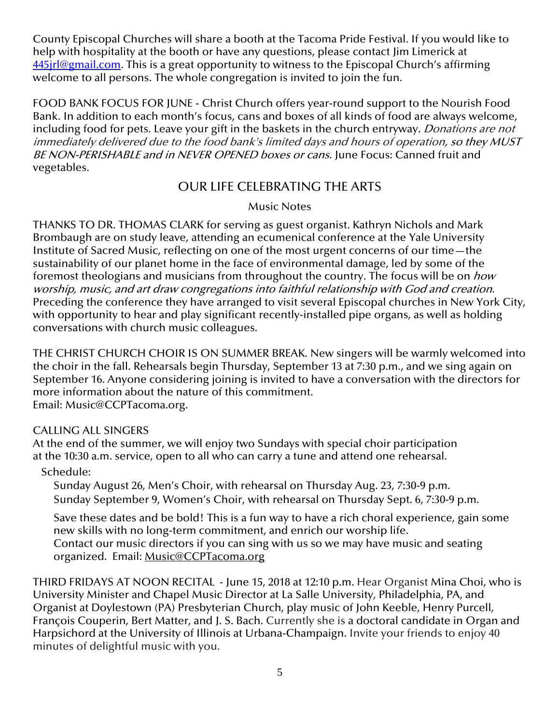County Episcopal Churches will share a booth at the Tacoma Pride Festival. If you would like to help with hospitality at the booth or have any questions, please contact Jim Limerick at 445 irl@gmail.com. This is a great opportunity to witness to the Episcopal Church's affirming welcome to all persons. The whole congregation is invited to join the fun.

FOOD BANK FOCUS FOR JUNE - Christ Church offers year-round support to the Nourish Food Bank. In addition to each month's focus, cans and boxes of all kinds of food are always welcome, including food for pets. Leave your gift in the baskets in the church entryway. *Donations are not* immediately delivered due to the food bank's limited days and hours of operation, so they MUST BE NON-PERISHABLE and in NEVER OPENED boxes or cans. June Focus: Canned fruit and vegetables.

## OUR LIFE CELEBRATING THE ARTS

## Music Notes

THANKS TO DR. THOMAS CLARK for serving as guest organist. Kathryn Nichols and Mark Brombaugh are on study leave, attending an ecumenical conference at the Yale University Institute of Sacred Music, reflecting on one of the most urgent concerns of our time—the sustainability of our planet home in the face of environmental damage, led by some of the foremost theologians and musicians from throughout the country. The focus will be on how worship, music, and art draw congregations into faithful relationship with God and creation. Preceding the conference they have arranged to visit several Episcopal churches in New York City, with opportunity to hear and play significant recently-installed pipe organs, as well as holding conversations with church music colleagues.

THE CHRIST CHURCH CHOIR IS ON SUMMER BREAK. New singers will be warmly welcomed into the choir in the fall. Rehearsals begin Thursday, September 13 at 7:30 p.m., and we sing again on September 16. Anyone considering joining is invited to have a conversation with the directors for more information about the nature of this commitment. Email: [Music@CCPTacoma.org.](mailto:Music@CCPTacoma.org)

#### CALLING ALL SINGERS

At the end of the summer, we will enjoy two Sundays with special choir participation at the 10:30 a.m. service, open to all who can carry a tune and attend one rehearsal.

## Schedule:

Sunday August 26, Men's Choir, with rehearsal on Thursday Aug. 23, 7:30-9 p.m. Sunday September 9, Women's Choir, with rehearsal on Thursday Sept. 6, 7:30-9 p.m.

Save these dates and be bold! This is a fun way to have a rich choral experience, gain some new skills with no long-term commitment, and enrich our worship life. Contact our music directors if you can sing with us so we may have music and seating organized. Email: [Music@CCPTacoma.org](mailto:Music@CCPTacoma.org)

THIRD FRIDAYS AT NOON RECITAL - June 15, 2018 at 12:10 p.m. Hear Organist Mina Choi, who is University Minister and Chapel Music Director at La Salle University, Philadelphia, PA, and Organist at Doylestown (PA) Presbyterian Church, play music of John Keeble, Henry Purcell, François Couperin, Bert Matter, and J. S. Bach. Currently she is a doctoral candidate in Organ and Harpsichord at the University of Illinois at Urbana-Champaign. Invite your friends to enjoy 40 minutes of delightful music with you.